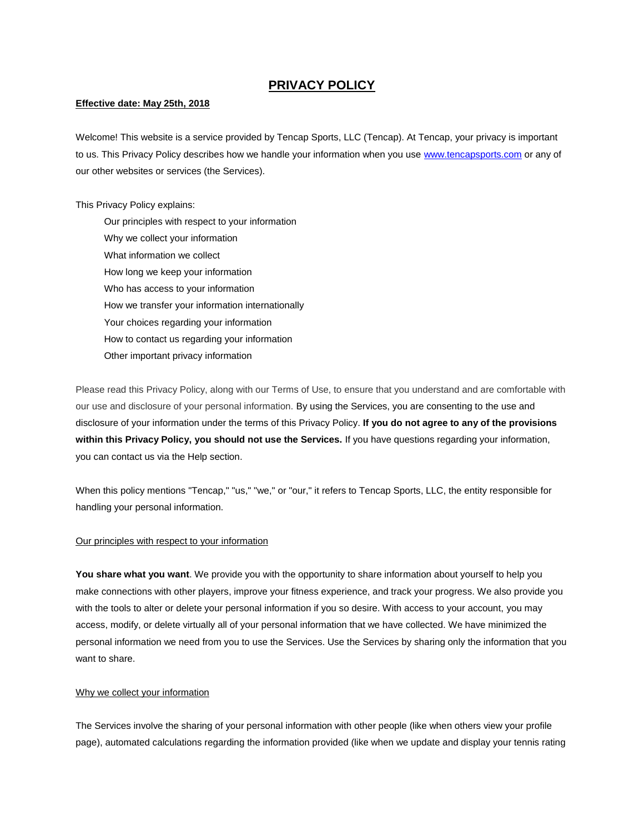# **PRIVACY POLICY**

# **Effective date: May 25th, 2018**

Welcome! This website is a service provided by Tencap Sports, LLC (Tencap). At Tencap, your privacy is important to us. This Privacy Policy describes how we handle your information when you use [www.tencapsports.com](http://www.tencapsports.com/) or any of our other websites or services (the Services).

This Privacy Policy explains:

Our principles with respect to your information Why we collect your information What information we collect How long we keep your information Who has access to your information How we transfer your information internationally Your choices regarding your information How to contact us regarding your information Other important privacy information

Please read this Privacy Policy, along with our Terms of Use, to ensure that you understand and are comfortable with our use and disclosure of your personal information. By using the Services, you are consenting to the use and disclosure of your information under the terms of this Privacy Policy. **If you do not agree to any of the provisions within this Privacy Policy, you should not use the Services.** If you have questions regarding your information, you can contact us via the Help section.

When this policy mentions "Tencap," "us," "we," or "our," it refers to Tencap Sports, LLC, the entity responsible for handling your personal information.

### Our principles with respect to your information

**You share what you want**. We provide you with the opportunity to share information about yourself to help you make connections with other players, improve your fitness experience, and track your progress. We also provide you with the tools to alter or delete your personal information if you so desire. With access to your account, you may access, modify, or delete virtually all of your personal information that we have collected. We have minimized the personal information we need from you to use the Services. Use the Services by sharing only the information that you want to share.

# Why we collect your information

The Services involve the sharing of your personal information with other people (like when others view your profile page), automated calculations regarding the information provided (like when we update and display your tennis rating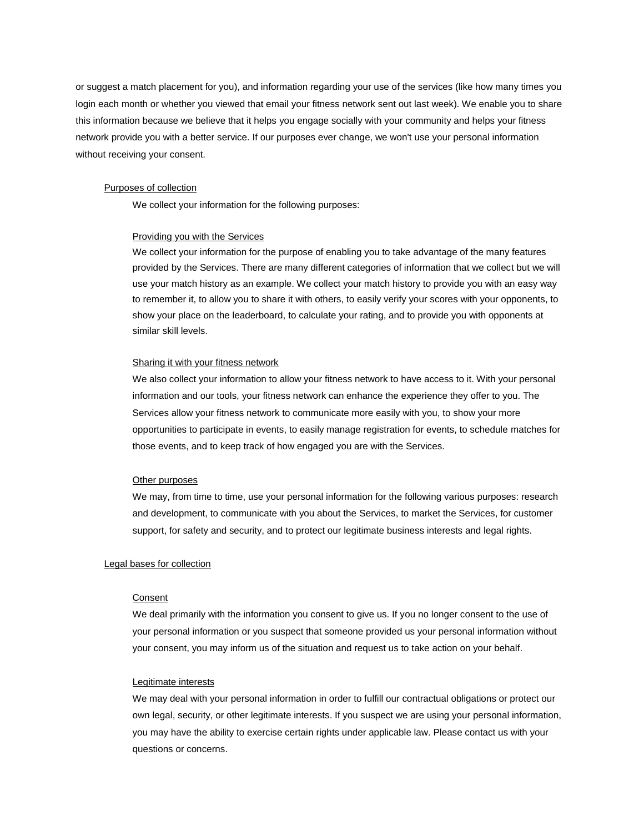or suggest a match placement for you), and information regarding your use of the services (like how many times you login each month or whether you viewed that email your fitness network sent out last week). We enable you to share this information because we believe that it helps you engage socially with your community and helps your fitness network provide you with a better service. If our purposes ever change, we won't use your personal information without receiving your consent.

#### Purposes of collection

We collect your information for the following purposes:

### Providing you with the Services

We collect your information for the purpose of enabling you to take advantage of the many features provided by the Services. There are many different categories of information that we collect but we will use your match history as an example. We collect your match history to provide you with an easy way to remember it, to allow you to share it with others, to easily verify your scores with your opponents, to show your place on the leaderboard, to calculate your rating, and to provide you with opponents at similar skill levels.

### Sharing it with your fitness network

We also collect your information to allow your fitness network to have access to it. With your personal information and our tools, your fitness network can enhance the experience they offer to you. The Services allow your fitness network to communicate more easily with you, to show your more opportunities to participate in events, to easily manage registration for events, to schedule matches for those events, and to keep track of how engaged you are with the Services.

#### Other purposes

We may, from time to time, use your personal information for the following various purposes: research and development, to communicate with you about the Services, to market the Services, for customer support, for safety and security, and to protect our legitimate business interests and legal rights.

### Legal bases for collection

#### Consent

We deal primarily with the information you consent to give us. If you no longer consent to the use of your personal information or you suspect that someone provided us your personal information without your consent, you may inform us of the situation and request us to take action on your behalf.

### Legitimate interests

We may deal with your personal information in order to fulfill our contractual obligations or protect our own legal, security, or other legitimate interests. If you suspect we are using your personal information, you may have the ability to exercise certain rights under applicable law. Please contact us with your questions or concerns.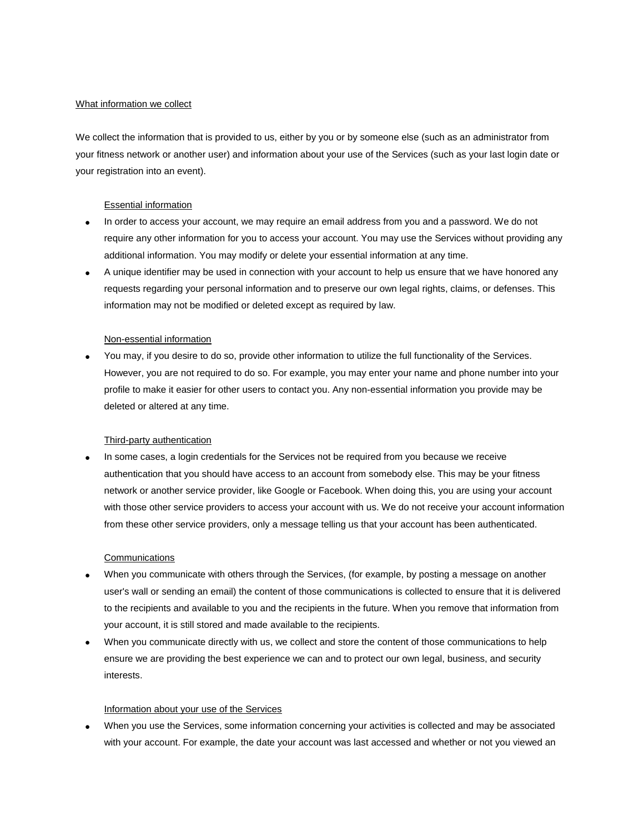# What information we collect

We collect the information that is provided to us, either by you or by someone else (such as an administrator from your fitness network or another user) and information about your use of the Services (such as your last login date or your registration into an event).

## Essential information

- In order to access your account, we may require an email address from you and a password. We do not require any other information for you to access your account. You may use the Services without providing any additional information. You may modify or delete your essential information at any time.
- A unique identifier may be used in connection with your account to help us ensure that we have honored any requests regarding your personal information and to preserve our own legal rights, claims, or defenses. This information may not be modified or deleted except as required by law.

### Non-essential information

 You may, if you desire to do so, provide other information to utilize the full functionality of the Services. However, you are not required to do so. For example, you may enter your name and phone number into your profile to make it easier for other users to contact you. Any non-essential information you provide may be deleted or altered at any time.

### Third-party authentication

 In some cases, a login credentials for the Services not be required from you because we receive authentication that you should have access to an account from somebody else. This may be your fitness network or another service provider, like Google or Facebook. When doing this, you are using your account with those other service providers to access your account with us. We do not receive your account information from these other service providers, only a message telling us that your account has been authenticated.

# **Communications**

- When you communicate with others through the Services, (for example, by posting a message on another user's wall or sending an email) the content of those communications is collected to ensure that it is delivered to the recipients and available to you and the recipients in the future. When you remove that information from your account, it is still stored and made available to the recipients.
- When you communicate directly with us, we collect and store the content of those communications to help ensure we are providing the best experience we can and to protect our own legal, business, and security interests.

### Information about your use of the Services

 When you use the Services, some information concerning your activities is collected and may be associated with your account. For example, the date your account was last accessed and whether or not you viewed an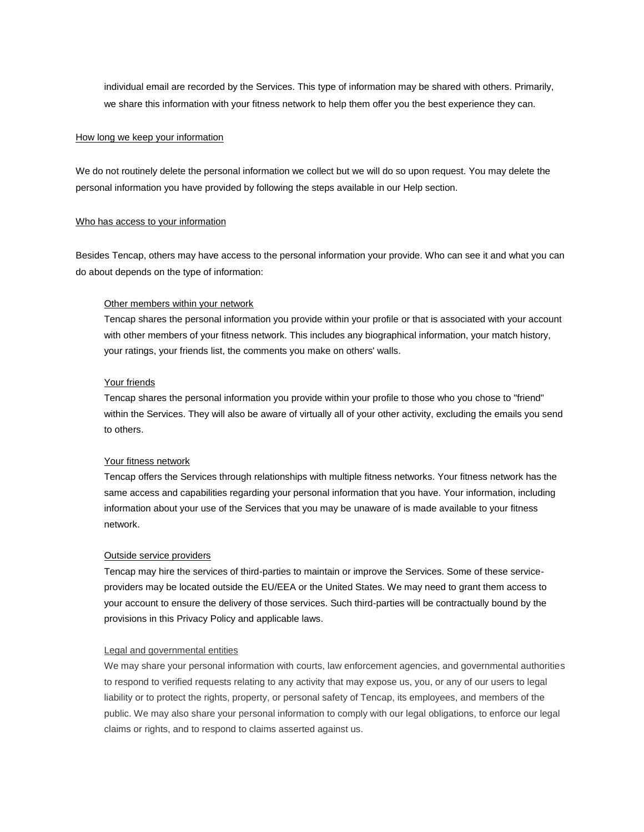individual email are recorded by the Services. This type of information may be shared with others. Primarily, we share this information with your fitness network to help them offer you the best experience they can.

### How long we keep your information

We do not routinely delete the personal information we collect but we will do so upon request. You may delete the personal information you have provided by following the steps available in our Help section.

### Who has access to your information

Besides Tencap, others may have access to the personal information your provide. Who can see it and what you can do about depends on the type of information:

### Other members within your network

Tencap shares the personal information you provide within your profile or that is associated with your account with other members of your fitness network. This includes any biographical information, your match history, your ratings, your friends list, the comments you make on others' walls.

### Your friends

Tencap shares the personal information you provide within your profile to those who you chose to "friend" within the Services. They will also be aware of virtually all of your other activity, excluding the emails you send to others.

### Your fitness network

Tencap offers the Services through relationships with multiple fitness networks. Your fitness network has the same access and capabilities regarding your personal information that you have. Your information, including information about your use of the Services that you may be unaware of is made available to your fitness network.

### Outside service providers

Tencap may hire the services of third-parties to maintain or improve the Services. Some of these serviceproviders may be located outside the EU/EEA or the United States. We may need to grant them access to your account to ensure the delivery of those services. Such third-parties will be contractually bound by the provisions in this Privacy Policy and applicable laws.

### Legal and governmental entities

We may share your personal information with courts, law enforcement agencies, and governmental authorities to respond to verified requests relating to any activity that may expose us, you, or any of our users to legal liability or to protect the rights, property, or personal safety of Tencap, its employees, and members of the public. We may also share your personal information to comply with our legal obligations, to enforce our legal claims or rights, and to respond to claims asserted against us.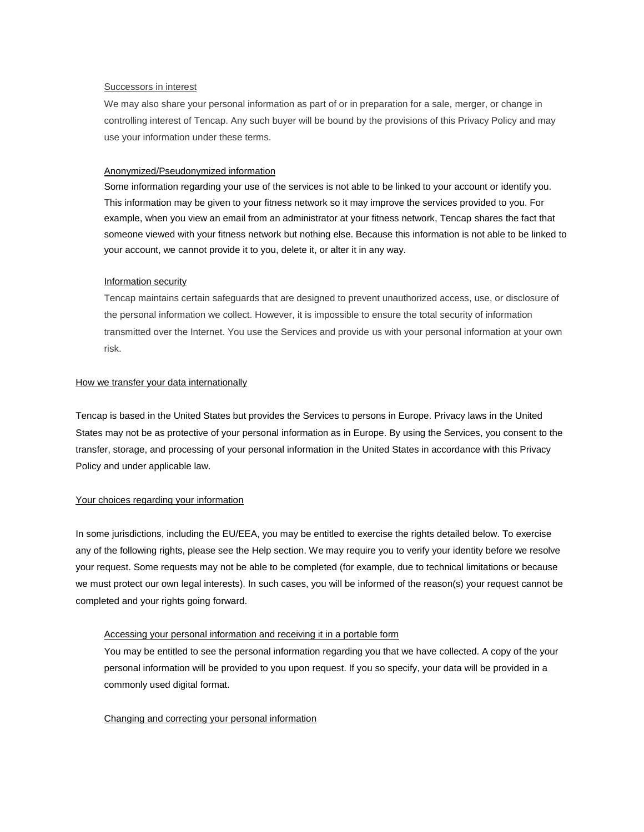### Successors in interest

We may also share your personal information as part of or in preparation for a sale, merger, or change in controlling interest of Tencap. Any such buyer will be bound by the provisions of this Privacy Policy and may use your information under these terms.

### Anonymized/Pseudonymized information

Some information regarding your use of the services is not able to be linked to your account or identify you. This information may be given to your fitness network so it may improve the services provided to you. For example, when you view an email from an administrator at your fitness network, Tencap shares the fact that someone viewed with your fitness network but nothing else. Because this information is not able to be linked to your account, we cannot provide it to you, delete it, or alter it in any way.

# Information security

Tencap maintains certain safeguards that are designed to prevent unauthorized access, use, or disclosure of the personal information we collect. However, it is impossible to ensure the total security of information transmitted over the Internet. You use the Services and provide us with your personal information at your own risk.

### How we transfer your data internationally

Tencap is based in the United States but provides the Services to persons in Europe. Privacy laws in the United States may not be as protective of your personal information as in Europe. By using the Services, you consent to the transfer, storage, and processing of your personal information in the United States in accordance with this Privacy Policy and under applicable law.

# Your choices regarding your information

In some jurisdictions, including the EU/EEA, you may be entitled to exercise the rights detailed below. To exercise any of the following rights, please see the Help section. We may require you to verify your identity before we resolve your request. Some requests may not be able to be completed (for example, due to technical limitations or because we must protect our own legal interests). In such cases, you will be informed of the reason(s) your request cannot be completed and your rights going forward.

# Accessing your personal information and receiving it in a portable form

You may be entitled to see the personal information regarding you that we have collected. A copy of the your personal information will be provided to you upon request. If you so specify, your data will be provided in a commonly used digital format.

### Changing and correcting your personal information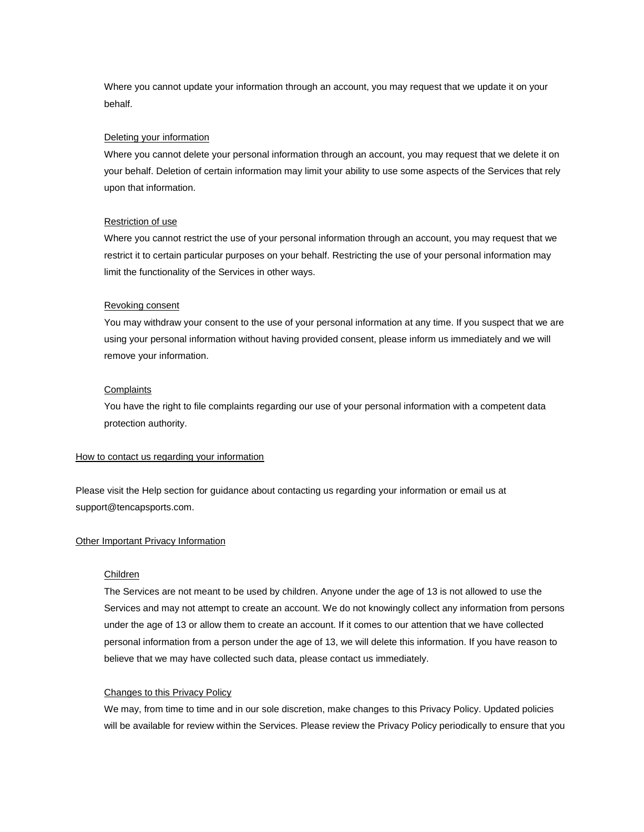Where you cannot update your information through an account, you may request that we update it on your behalf.

### Deleting your information

Where you cannot delete your personal information through an account, you may request that we delete it on your behalf. Deletion of certain information may limit your ability to use some aspects of the Services that rely upon that information.

### Restriction of use

Where you cannot restrict the use of your personal information through an account, you may request that we restrict it to certain particular purposes on your behalf. Restricting the use of your personal information may limit the functionality of the Services in other ways.

### Revoking consent

You may withdraw your consent to the use of your personal information at any time. If you suspect that we are using your personal information without having provided consent, please inform us immediately and we will remove your information.

### **Complaints**

You have the right to file complaints regarding our use of your personal information with a competent data protection authority.

#### How to contact us regarding your information

Please visit the Help section for guidance about contacting us regarding your information or email us at support@tencapsports.com.

#### **Other Important Privacy Information**

#### Children

The Services are not meant to be used by children. Anyone under the age of 13 is not allowed to use the Services and may not attempt to create an account. We do not knowingly collect any information from persons under the age of 13 or allow them to create an account. If it comes to our attention that we have collected personal information from a person under the age of 13, we will delete this information. If you have reason to believe that we may have collected such data, please contact us immediately.

### Changes to this Privacy Policy

We may, from time to time and in our sole discretion, make changes to this Privacy Policy. Updated policies will be available for review within the Services. Please review the Privacy Policy periodically to ensure that you